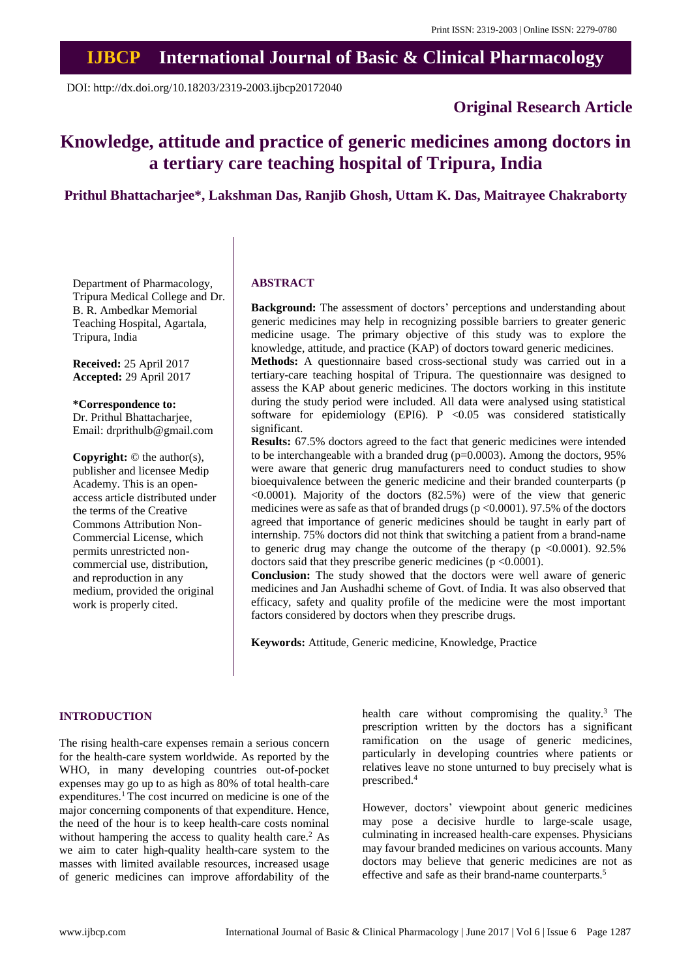# **IJBCP International Journal of Basic & Clinical Pharmacology**

DOI: http://dx.doi.org/10.18203/2319-2003.ijbcp20172040

## **Original Research Article**

# **Knowledge, attitude and practice of generic medicines among doctors in a tertiary care teaching hospital of Tripura, India**

## **Prithul Bhattacharjee\*, Lakshman Das, Ranjib Ghosh, Uttam K. Das, Maitrayee Chakraborty**

Department of Pharmacology, Tripura Medical College and Dr. B. R. Ambedkar Memorial Teaching Hospital, Agartala, Tripura, India

**Received:** 25 April 2017 **Accepted:** 29 April 2017

**\*Correspondence to:**

Dr. Prithul Bhattacharjee, Email: drprithulb@gmail.com

**Copyright:** © the author(s), publisher and licensee Medip Academy. This is an openaccess article distributed under the terms of the Creative Commons Attribution Non-Commercial License, which permits unrestricted noncommercial use, distribution, and reproduction in any medium, provided the original work is properly cited.

## **ABSTRACT**

**Background:** The assessment of doctors' perceptions and understanding about generic medicines may help in recognizing possible barriers to greater generic medicine usage. The primary objective of this study was to explore the knowledge, attitude, and practice (KAP) of doctors toward generic medicines.

**Methods:** A questionnaire based cross-sectional study was carried out in a tertiary-care teaching hospital of Tripura. The questionnaire was designed to assess the KAP about generic medicines. The doctors working in this institute during the study period were included. All data were analysed using statistical software for epidemiology (EPI6). P <0.05 was considered statistically significant.

**Results:** 67.5% doctors agreed to the fact that generic medicines were intended to be interchangeable with a branded drug ( $p=0.0003$ ). Among the doctors, 95% were aware that generic drug manufacturers need to conduct studies to show bioequivalence between the generic medicine and their branded counterparts (p  $\leq 0.0001$ ). Majority of the doctors  $(82.5%)$  were of the view that generic medicines were as safe as that of branded drugs ( $p \le 0.0001$ ). 97.5% of the doctors agreed that importance of generic medicines should be taught in early part of internship. 75% doctors did not think that switching a patient from a brand-name to generic drug may change the outcome of the therapy ( $p \le 0.0001$ ). 92.5% doctors said that they prescribe generic medicines (p <0.0001).

**Conclusion:** The study showed that the doctors were well aware of generic medicines and Jan Aushadhi scheme of Govt. of India. It was also observed that efficacy, safety and quality profile of the medicine were the most important factors considered by doctors when they prescribe drugs.

**Keywords:** Attitude, Generic medicine, Knowledge, Practice

#### **INTRODUCTION**

The rising health-care expenses remain a serious concern for the health-care system worldwide. As reported by the WHO, in many developing countries out-of-pocket expenses may go up to as high as 80% of total health-care expenditures.<sup>1</sup> The cost incurred on medicine is one of the major concerning components of that expenditure. Hence, the need of the hour is to keep health-care costs nominal without hampering the access to quality health care.<sup>2</sup> As we aim to cater high-quality health-care system to the masses with limited available resources, increased usage of generic medicines can improve affordability of the health care without compromising the quality.<sup>3</sup> The prescription written by the doctors has a significant ramification on the usage of generic medicines, particularly in developing countries where patients or relatives leave no stone unturned to buy precisely what is prescribed.<sup>4</sup>

However, doctors' viewpoint about generic medicines may pose a decisive hurdle to large-scale usage, culminating in increased health-care expenses. Physicians may favour branded medicines on various accounts. Many doctors may believe that generic medicines are not as effective and safe as their brand-name counterparts.<sup>5</sup>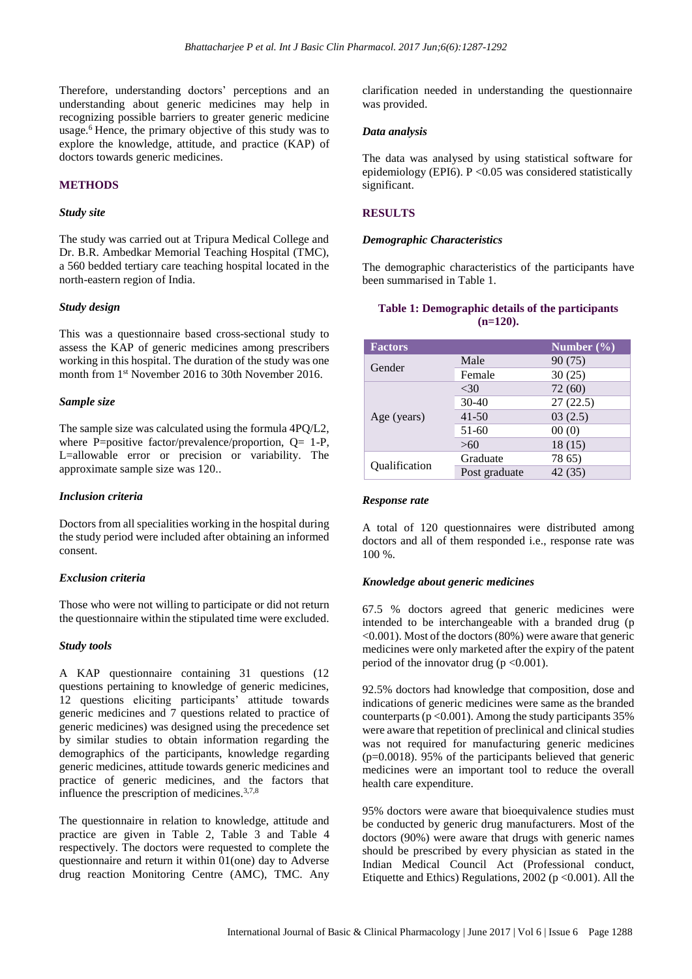Therefore, understanding doctors' perceptions and an understanding about generic medicines may help in recognizing possible barriers to greater generic medicine usage.<sup>6</sup> Hence, the primary objective of this study was to explore the knowledge, attitude, and practice (KAP) of doctors towards generic medicines.

## **METHODS**

#### *Study site*

The study was carried out at Tripura Medical College and Dr. B.R. Ambedkar Memorial Teaching Hospital (TMC), a 560 bedded tertiary care teaching hospital located in the north-eastern region of India.

#### *Study design*

This was a questionnaire based cross-sectional study to assess the KAP of generic medicines among prescribers working in this hospital. The duration of the study was one month from 1 st November 2016 to 30th November 2016.

## *Sample size*

The sample size was calculated using the formula 4PQ/L2, where P=positive factor/prevalence/proportion,  $Q = 1-P$ , L=allowable error or precision or variability. The approximate sample size was 120..

## *Inclusion criteria*

Doctors from all specialities working in the hospital during the study period were included after obtaining an informed consent.

## *Exclusion criteria*

Those who were not willing to participate or did not return the questionnaire within the stipulated time were excluded.

#### *Study tools*

A KAP questionnaire containing 31 questions (12 questions pertaining to knowledge of generic medicines, 12 questions eliciting participants' attitude towards generic medicines and 7 questions related to practice of generic medicines) was designed using the precedence set by similar studies to obtain information regarding the demographics of the participants, knowledge regarding generic medicines, attitude towards generic medicines and practice of generic medicines, and the factors that influence the prescription of medicines.<sup>3,7,8</sup>

The questionnaire in relation to knowledge, attitude and practice are given in Table 2, Table 3 and Table 4 respectively. The doctors were requested to complete the questionnaire and return it within 01(one) day to Adverse drug reaction Monitoring Centre (AMC), TMC. Any clarification needed in understanding the questionnaire was provided.

#### *Data analysis*

The data was analysed by using statistical software for epidemiology (EPI6). P <0.05 was considered statistically significant.

## **RESULTS**

#### *Demographic Characteristics*

The demographic characteristics of the participants have been summarised in Table 1.

## **Table 1: Demographic details of the participants (n=120).**

| <b>Factors</b> |               | Number $(\% )$ |
|----------------|---------------|----------------|
| Gender         | Male          | 90(75)         |
|                | Female        | 30(25)         |
| Age (years)    | <30           | 72(60)         |
|                | $30-40$       | 27(22.5)       |
|                | $41 - 50$     | 03(2.5)        |
|                | 51-60         | 00(0)          |
|                | >60           | 18(15)         |
| Qualification  | Graduate      | 78 65)         |
|                | Post graduate | 42(35)         |

#### *Response rate*

A total of 120 questionnaires were distributed among doctors and all of them responded i.e., response rate was 100 %.

## *Knowledge about generic medicines*

67.5 % doctors agreed that generic medicines were intended to be interchangeable with a branded drug (p  $\leq 0.001$ ). Most of the doctors (80%) were aware that generic medicines were only marketed after the expiry of the patent period of the innovator drug ( $p < 0.001$ ).

92.5% doctors had knowledge that composition, dose and indications of generic medicines were same as the branded counterparts ( $p < 0.001$ ). Among the study participants 35% were aware that repetition of preclinical and clinical studies was not required for manufacturing generic medicines (p=0.0018). 95% of the participants believed that generic medicines were an important tool to reduce the overall health care expenditure.

95% doctors were aware that bioequivalence studies must be conducted by generic drug manufacturers. Most of the doctors (90%) were aware that drugs with generic names should be prescribed by every physician as stated in the Indian Medical Council Act (Professional conduct, Etiquette and Ethics) Regulations,  $2002$  ( $p < 0.001$ ). All the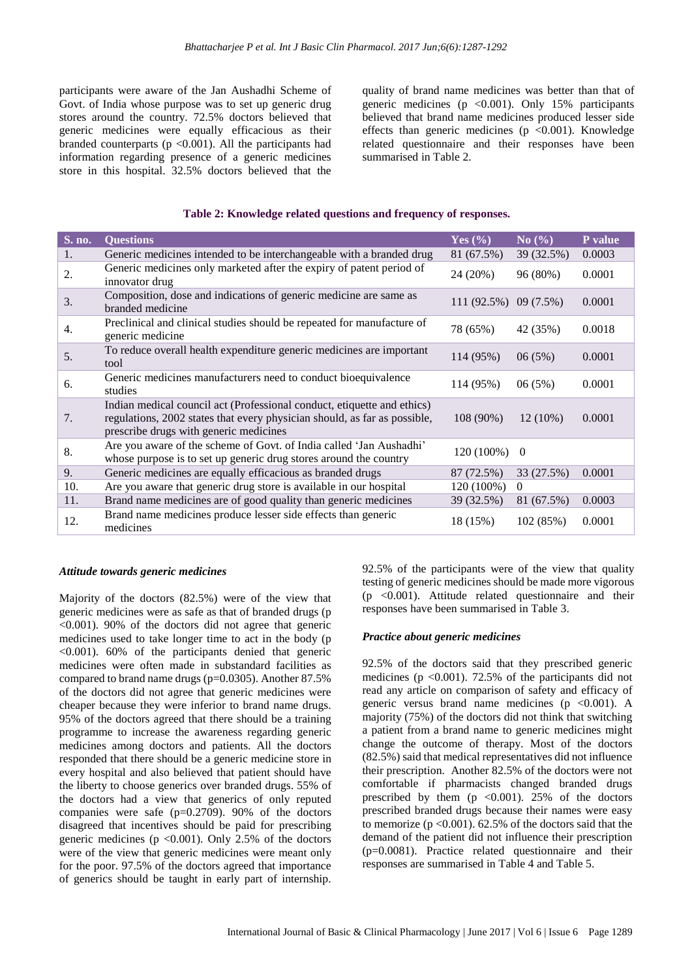participants were aware of the Jan Aushadhi Scheme of Govt. of India whose purpose was to set up generic drug stores around the country. 72.5% doctors believed that generic medicines were equally efficacious as their branded counterparts ( $p < 0.001$ ). All the participants had information regarding presence of a generic medicines store in this hospital. 32.5% doctors believed that the

quality of brand name medicines was better than that of generic medicines ( $p \le 0.001$ ). Only 15% participants believed that brand name medicines produced lesser side effects than generic medicines ( $p$  <0.001). Knowledge related questionnaire and their responses have been summarised in Table 2.

## **Table 2: Knowledge related questions and frequency of responses.**

| <b>S. no.</b> | <b>Ouestions</b>                                                                                                                                                                               | Yes $(\% )$             | No(%)          | <b>P</b> value |
|---------------|------------------------------------------------------------------------------------------------------------------------------------------------------------------------------------------------|-------------------------|----------------|----------------|
| 1.            | Generic medicines intended to be interchangeable with a branded drug                                                                                                                           | 81 (67.5%)              | 39 (32.5%)     | 0.0003         |
| 2.            | Generic medicines only marketed after the expiry of patent period of<br>innovator drug                                                                                                         | 24 (20%)                | 96 (80%)       | 0.0001         |
| 3.            | Composition, dose and indications of generic medicine are same as<br>branded medicine                                                                                                          | $111(92.5\%)$ 09 (7.5%) |                | 0.0001         |
| 4.            | Preclinical and clinical studies should be repeated for manufacture of<br>generic medicine                                                                                                     | 78 (65%)                | 42 (35%)       | 0.0018         |
| 5.            | To reduce overall health expenditure generic medicines are important<br>tool                                                                                                                   | 114 (95%)               | 06(5%)         | 0.0001         |
| 6.            | Generic medicines manufacturers need to conduct bioequivalence<br>studies                                                                                                                      | 114 (95%)               | 06(5%)         | 0.0001         |
| 7.            | Indian medical council act (Professional conduct, etiquette and ethics)<br>regulations, 2002 states that every physician should, as far as possible,<br>prescribe drugs with generic medicines | $108(90\%)$             | $12(10\%)$     | 0.0001         |
| 8.            | Are you aware of the scheme of Govt. of India called 'Jan Aushadhi'<br>whose purpose is to set up generic drug stores around the country                                                       | 120 (100%)              | $\overline{0}$ |                |
| 9.            | Generic medicines are equally efficacious as branded drugs                                                                                                                                     | 87 (72.5%)              | 33 (27.5%)     | 0.0001         |
| 10.           | Are you aware that generic drug store is available in our hospital                                                                                                                             | 120 (100%)              | $\theta$       |                |
| 11.           | Brand name medicines are of good quality than generic medicines                                                                                                                                | 39 (32.5%)              | 81 (67.5%)     | 0.0003         |
| 12.           | Brand name medicines produce lesser side effects than generic<br>medicines                                                                                                                     | 18 (15%)                | 102 (85%)      | 0.0001         |

## *Attitude towards generic medicines*

Majority of the doctors (82.5%) were of the view that generic medicines were as safe as that of branded drugs (p <0.001). 90% of the doctors did not agree that generic medicines used to take longer time to act in the body (p <0.001). 60% of the participants denied that generic medicines were often made in substandard facilities as compared to brand name drugs (p=0.0305). Another 87.5% of the doctors did not agree that generic medicines were cheaper because they were inferior to brand name drugs. 95% of the doctors agreed that there should be a training programme to increase the awareness regarding generic medicines among doctors and patients. All the doctors responded that there should be a generic medicine store in every hospital and also believed that patient should have the liberty to choose generics over branded drugs. 55% of the doctors had a view that generics of only reputed companies were safe  $(p=0.2709)$ . 90% of the doctors disagreed that incentives should be paid for prescribing generic medicines ( $p \le 0.001$ ). Only 2.5% of the doctors were of the view that generic medicines were meant only for the poor. 97.5% of the doctors agreed that importance of generics should be taught in early part of internship.

92.5% of the participants were of the view that quality testing of generic medicines should be made more vigorous  $(p \le 0.001)$ . Attitude related questionnaire and their responses have been summarised in Table 3.

## *Practice about generic medicines*

92.5% of the doctors said that they prescribed generic medicines ( $p \le 0.001$ ). 72.5% of the participants did not read any article on comparison of safety and efficacy of generic versus brand name medicines ( $p \leq 0.001$ ). A majority (75%) of the doctors did not think that switching a patient from a brand name to generic medicines might change the outcome of therapy. Most of the doctors (82.5%) said that medical representatives did not influence their prescription. Another 82.5% of the doctors were not comfortable if pharmacists changed branded drugs prescribed by them  $(p \le 0.001)$ . 25% of the doctors prescribed branded drugs because their names were easy to memorize ( $p \le 0.001$ ). 62.5% of the doctors said that the demand of the patient did not influence their prescription (p=0.0081). Practice related questionnaire and their responses are summarised in Table 4 and Table 5.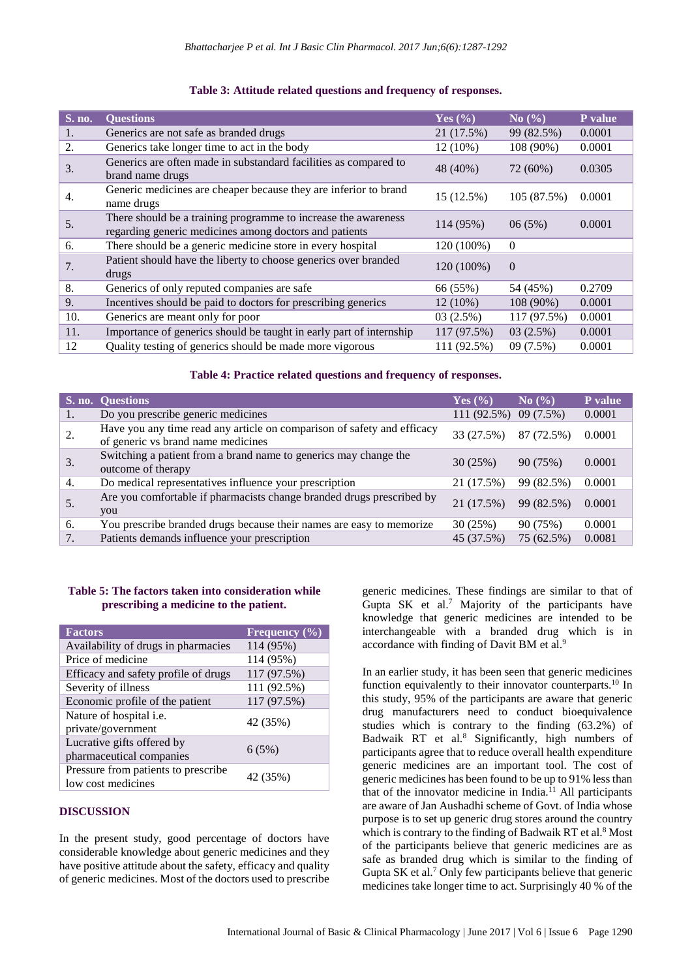| S. no. | <b>Questions</b>                                                                                                         | Yes $(\% )$ | No $(\% )$  | P value |
|--------|--------------------------------------------------------------------------------------------------------------------------|-------------|-------------|---------|
| 1.     | Generics are not safe as branded drugs                                                                                   | 21 (17.5%)  | 99 (82.5%)  | 0.0001  |
| 2.     | Generics take longer time to act in the body                                                                             | 12 (10%)    | 108 (90%)   | 0.0001  |
| 3.     | Generics are often made in substandard facilities as compared to<br>brand name drugs                                     | 48 (40%)    | 72 (60%)    | 0.0305  |
| 4.     | Generic medicines are cheaper because they are inferior to brand<br>name drugs                                           | 15 (12.5%)  | 105 (87.5%) | 0.0001  |
| 5.     | There should be a training programme to increase the awareness<br>regarding generic medicines among doctors and patients | 114 (95%)   | 06(5%)      | 0.0001  |
| 6.     | There should be a generic medicine store in every hospital                                                               | 120 (100%)  | $\Omega$    |         |
| 7.     | Patient should have the liberty to choose generics over branded<br>drugs                                                 | 120 (100%)  | $\Omega$    |         |
| 8.     | Generics of only reputed companies are safe                                                                              | 66 (55%)    | 54 (45%)    | 0.2709  |
| 9.     | Incentives should be paid to doctors for prescribing generics                                                            | $12(10\%)$  | 108 (90%)   | 0.0001  |
| 10.    | Generics are meant only for poor                                                                                         | 03(2.5%)    | 117 (97.5%) | 0.0001  |
| 11.    | Importance of generics should be taught in early part of internship                                                      | 117 (97.5%) | 03(2.5%)    | 0.0001  |
| 12     | Quality testing of generics should be made more vigorous                                                                 | 111 (92.5%) | 09(7.5%)    | 0.0001  |

## **Table 3: Attitude related questions and frequency of responses.**

## **Table 4: Practice related questions and frequency of responses.**

|    | S. no. Questions                                                                                              | Yes $(\% )$ | No(%)       | <b>P</b> value |
|----|---------------------------------------------------------------------------------------------------------------|-------------|-------------|----------------|
| 1. | Do you prescribe generic medicines                                                                            | 111(92.5%)  | $09(7.5\%)$ | 0.0001         |
| 2. | Have you any time read any article on comparison of safety and efficacy<br>of generic vs brand name medicines | 33 (27.5%)  | 87 (72.5%)  | 0.0001         |
| 3. | Switching a patient from a brand name to generics may change the<br>outcome of therapy                        | 30(25%)     | 90 (75%)    | 0.0001         |
| 4. | Do medical representatives influence your prescription                                                        | 21 (17.5%)  | 99 (82.5%)  | 0.0001         |
|    | Are you comfortable if pharmacists change branded drugs prescribed by<br>you                                  | 21 (17.5%)  | 99 (82.5%)  | 0.0001         |
| 6. | You prescribe branded drugs because their names are easy to memorize                                          | 30(25%)     | 90 (75%)    | 0.0001         |
|    | Patients demands influence your prescription                                                                  | 45 (37.5%)  | 75 (62.5%)  | 0.0081         |

## **Table 5: The factors taken into consideration while prescribing a medicine to the patient.**

| <b>Factors</b>                       | Frequency $(\% )$ |  |
|--------------------------------------|-------------------|--|
| Availability of drugs in pharmacies  | 114 (95%)         |  |
| Price of medicine                    | 114 (95%)         |  |
| Efficacy and safety profile of drugs | 117 (97.5%)       |  |
| Severity of illness                  | 111 (92.5%)       |  |
| Economic profile of the patient      | 117 (97.5%)       |  |
| Nature of hospital <i>i.e.</i>       | 42 (35%)          |  |
| private/government                   |                   |  |
| Lucrative gifts offered by           | 6(5%)             |  |
| pharmaceutical companies             |                   |  |
| Pressure from patients to prescribe  | 42 (35%)          |  |
| low cost medicines                   |                   |  |

## **DISCUSSION**

In the present study, good percentage of doctors have considerable knowledge about generic medicines and they have positive attitude about the safety, efficacy and quality of generic medicines. Most of the doctors used to prescribe generic medicines. These findings are similar to that of Gupta SK et al.<sup>7</sup> Majority of the participants have knowledge that generic medicines are intended to be interchangeable with a branded drug which is in accordance with finding of Davit BM et al.<sup>9</sup>

In an earlier study, it has been seen that generic medicines function equivalently to their innovator counterparts.<sup>10</sup> In this study, 95% of the participants are aware that generic drug manufacturers need to conduct bioequivalence studies which is contrary to the finding (63.2%) of Badwaik RT et al.<sup>8</sup> Significantly, high numbers of participants agree that to reduce overall health expenditure generic medicines are an important tool. The cost of generic medicines has been found to be up to 91% lessthan that of the innovator medicine in India.<sup>11</sup> All participants are aware of Jan Aushadhi scheme of Govt. of India whose purpose is to set up generic drug stores around the country which is contrary to the finding of Badwaik RT et al.<sup>8</sup> Most of the participants believe that generic medicines are as safe as branded drug which is similar to the finding of Gupta SK et al.<sup>7</sup> Only few participants believe that generic medicines take longer time to act. Surprisingly 40 % of the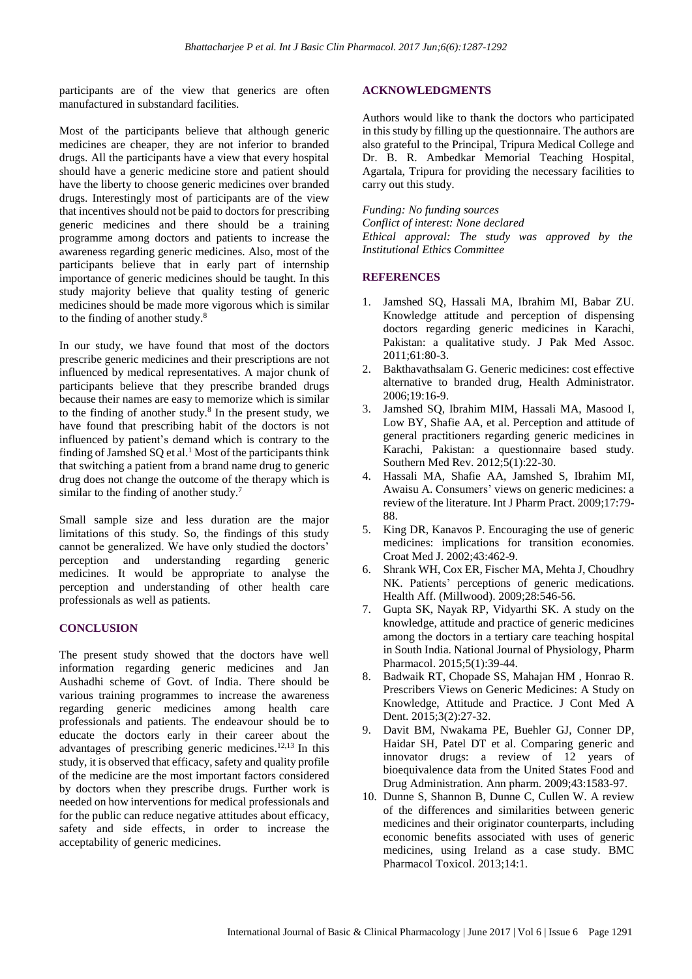participants are of the view that generics are often manufactured in substandard facilities.

Most of the participants believe that although generic medicines are cheaper, they are not inferior to branded drugs. All the participants have a view that every hospital should have a generic medicine store and patient should have the liberty to choose generic medicines over branded drugs. Interestingly most of participants are of the view that incentives should not be paid to doctors for prescribing generic medicines and there should be a training programme among doctors and patients to increase the awareness regarding generic medicines. Also, most of the participants believe that in early part of internship importance of generic medicines should be taught. In this study majority believe that quality testing of generic medicines should be made more vigorous which is similar to the finding of another study.<sup>8</sup>

In our study, we have found that most of the doctors prescribe generic medicines and their prescriptions are not influenced by medical representatives. A major chunk of participants believe that they prescribe branded drugs because their names are easy to memorize which is similar to the finding of another study. $8$  In the present study, we have found that prescribing habit of the doctors is not influenced by patient's demand which is contrary to the finding of Jamshed  $SQ$  et al.<sup>1</sup> Most of the participants think that switching a patient from a brand name drug to generic drug does not change the outcome of the therapy which is similar to the finding of another study.<sup>7</sup>

Small sample size and less duration are the major limitations of this study. So, the findings of this study cannot be generalized. We have only studied the doctors' perception and understanding regarding generic medicines. It would be appropriate to analyse the perception and understanding of other health care professionals as well as patients.

## **CONCLUSION**

The present study showed that the doctors have well information regarding generic medicines and Jan Aushadhi scheme of Govt. of India. There should be various training programmes to increase the awareness regarding generic medicines among health care professionals and patients. The endeavour should be to educate the doctors early in their career about the advantages of prescribing generic medicines.<sup>12,13</sup> In this study, it is observed that efficacy, safety and quality profile of the medicine are the most important factors considered by doctors when they prescribe drugs. Further work is needed on how interventions for medical professionals and for the public can reduce negative attitudes about efficacy, safety and side effects, in order to increase the acceptability of generic medicines.

## **ACKNOWLEDGMENTS**

Authors would like to thank the doctors who participated in this study by filling up the questionnaire. The authors are also grateful to the Principal, Tripura Medical College and Dr. B. R. Ambedkar Memorial Teaching Hospital, Agartala, Tripura for providing the necessary facilities to carry out this study.

*Funding: No funding sources Conflict of interest: None declared Ethical approval: The study was approved by the Institutional Ethics Committee*

## **REFERENCES**

- 1. Jamshed SQ, Hassali MA, Ibrahim MI, Babar ZU. Knowledge attitude and perception of dispensing doctors regarding generic medicines in Karachi, Pakistan: a qualitative study. J Pak Med Assoc. 2011;61:80-3.
- 2. Bakthavathsalam G. Generic medicines: cost effective alternative to branded drug, Health Administrator. 2006;19:16-9.
- 3. Jamshed SQ, Ibrahim MIM, Hassali MA, Masood I, Low BY, Shafie AA, et al. Perception and attitude of general practitioners regarding generic medicines in Karachi, Pakistan: a questionnaire based study. Southern Med Rev. 2012;5(1):22-30.
- 4. Hassali MA, Shafie AA, Jamshed S, Ibrahim MI, Awaisu A. Consumers' views on generic medicines: a review of the literature. Int J Pharm Pract. 2009;17:79- 88.
- 5. King DR, Kanavos P. Encouraging the use of generic medicines: implications for transition economies. Croat Med J. 2002;43:462-9.
- 6. Shrank WH, Cox ER, Fischer MA, Mehta J, Choudhry NK. Patients' perceptions of generic medications. Health Aff. (Millwood). 2009;28:546-56.
- 7. Gupta SK, Nayak RP, Vidyarthi SK. A study on the knowledge, attitude and practice of generic medicines among the doctors in a tertiary care teaching hospital in South India. National Journal of Physiology, Pharm Pharmacol. 2015;5(1):39-44.
- 8. Badwaik RT, Chopade SS, Mahajan HM , Honrao R. Prescribers Views on Generic Medicines: A Study on Knowledge, Attitude and Practice. J Cont Med A Dent. 2015;3(2):27-32.
- 9. Davit BM, Nwakama PE, Buehler GJ, Conner DP, Haidar SH, Patel DT et al. Comparing generic and innovator drugs: a review of 12 years of bioequivalence data from the United States Food and Drug Administration. Ann pharm. 2009;43:1583-97.
- 10. Dunne S, Shannon B, Dunne C, Cullen W. A review of the differences and similarities between generic medicines and their originator counterparts, including economic benefits associated with uses of generic medicines, using Ireland as a case study. BMC Pharmacol Toxicol. 2013;14:1.